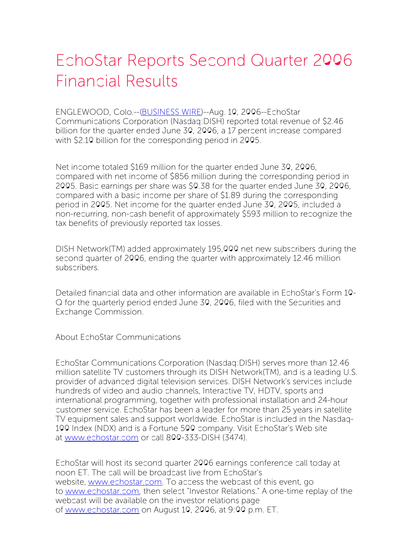## EchoStar Reports Second Quarter 2006 Financial Results

ENGLEWOOD, Colo.--[\(BUSINESS](http://www.businesswire.com/) WIRE)--Aug. 10, 2006--EchoStar Communications Corporation (Nasdaq:DISH) reported total revenue of \$2.46 billion for the quarter ended June 30, 2006, a 17 percent increase compared with \$2.10 billion for the corresponding period in 2005.

Net income totaled \$169 million for the quarter ended June 30, 2006, compared with net income of \$856 million during the corresponding period in 2005. Basic earnings per share was \$0.38 for the quarter ended June 30, 2006, compared with a basic income per share of \$1.89 during the corresponding period in 2005. Net income for the quarter ended June 30, 2005, included a non-recurring, non-cash benefit of approximately \$593 million to recognize the tax benefits of previously reported tax losses.

DISH Network(TM) added approximately 195,000 net new subscribers during the second quarter of 2006, ending the quarter with approximately 12.46 million subscribers.

Detailed financial data and other information are available in EchoStar's Form 10- Q for the quarterly period ended June 30, 2006, filed with the Securities and Exchange Commission.

About EchoStar Communications

EchoStar Communications Corporation (Nasdaq:DISH) serves more than 12.46 million satellite TV customers through its DISH Network(TM), and is a leading U.S. provider of advanced digital television services. DISH Network's services include hundreds of video and audio channels, Interactive TV, HDTV, sports and international programming, together with professional installation and 24-hour customer service. EchoStar has been a leader for more than 25 years in satellite TV equipment sales and support worldwide. EchoStar is included in the Nasdaq-100 Index (NDX) and is a Fortune 500 company. Visit EchoStar's Web site at [www.echostar.com](http://www.echostar.com/) or call 800-333-DISH (3474).

EchoStar will host its second quarter 2006 earnings conference call today at noon ET. The call will be broadcast live from EchoStar's website, [www.echostar.com](http://www.echostar.com/). To access the webcast of this event, go to [www.echostar.com](http://www.echostar.com/), then select "Investor Relations." A one-time replay of the webcast will be available on the investor relations page of [www.echostar.com](http://www.echostar.com/) on August 10, 2006, at 9:00 p.m. ET.